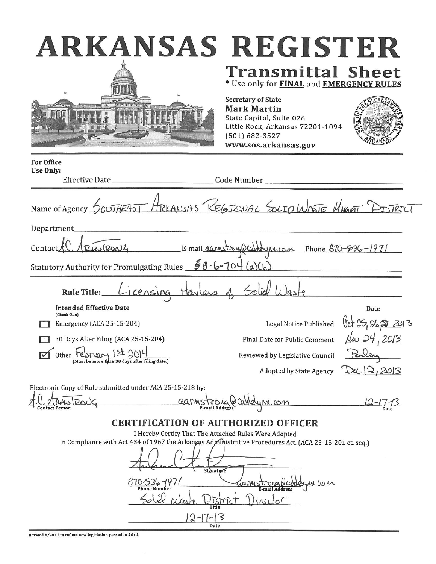| ARKANSAS REGISTER                                                                                                                                                                                                                                                                    |                                                                                                                                                                                                                                |
|--------------------------------------------------------------------------------------------------------------------------------------------------------------------------------------------------------------------------------------------------------------------------------------|--------------------------------------------------------------------------------------------------------------------------------------------------------------------------------------------------------------------------------|
|                                                                                                                                                                                                                                                                                      | <b>Transmittal Sheet</b><br>* Use only for FINAL and EMERGENCY RULES<br>Secretary of State<br><b>Mark Martin</b><br>State Capitol, Suite 026<br>Little Rock, Arkansas 72201-1094<br>$(501) 682 - 3527$<br>www.sos.arkansas.gov |
| <b>For Office</b><br><b>Use Only:</b>                                                                                                                                                                                                                                                |                                                                                                                                                                                                                                |
|                                                                                                                                                                                                                                                                                      |                                                                                                                                                                                                                                |
|                                                                                                                                                                                                                                                                                      | Name of Agency SOUTHEAST HRLANSAS REGIONAL SOLIO WASTE MNGAT PISTRICT                                                                                                                                                          |
| Department_                                                                                                                                                                                                                                                                          |                                                                                                                                                                                                                                |
| Contact A. A Puis (RONZ E-mail agrees trong Plechayer com Phone 870-536-1971                                                                                                                                                                                                         |                                                                                                                                                                                                                                |
| Statutory Authority for Promulgating Rules $\frac{58-6-704}{a)(b)}$                                                                                                                                                                                                                  |                                                                                                                                                                                                                                |
|                                                                                                                                                                                                                                                                                      | Rule Title: Licensing Harless of Solid Waste                                                                                                                                                                                   |
| <b>Intended Effective Date</b>                                                                                                                                                                                                                                                       | Date                                                                                                                                                                                                                           |
| (Check One)<br>Emergency (ACA 25-15-204)                                                                                                                                                                                                                                             | Legal Notice Published                                                                                                                                                                                                         |
| 30 Days After Filing (ACA 25-15-204)                                                                                                                                                                                                                                                 | Final Date for Public Comment $\frac{\sqrt{\omega}}{24}$ , 20/3                                                                                                                                                                |
| Other T                                                                                                                                                                                                                                                                              | Reviewed by Legislative Council                                                                                                                                                                                                |
| (Must be more than 30 days after filing date.)                                                                                                                                                                                                                                       | <b>Adopted by State Agency</b>                                                                                                                                                                                                 |
| Electronic Copy of Rule submitted under ACA 25-15-218 by:                                                                                                                                                                                                                            |                                                                                                                                                                                                                                |
| Garmst<br>Contact Person                                                                                                                                                                                                                                                             | com<br>Date                                                                                                                                                                                                                    |
| <b>CERTIFICATION OF AUTHORIZED OFFICER</b><br>I Hereby Certify That The Attached Rules Were Adopted<br>In Compliance with Act 434 of 1967 the Arkansas Administrative Procedures Act. (ACA 25-15-201 et. seq.)<br>Signature<br>870-536-1971<br><b>Title</b><br>$2 - 17 - 13$<br>Date | armstrong<br>E-mail Address<br>rector                                                                                                                                                                                          |

Revised 8/2011 to reflect new legislation passed in 2011.

 $\bar{\nu}$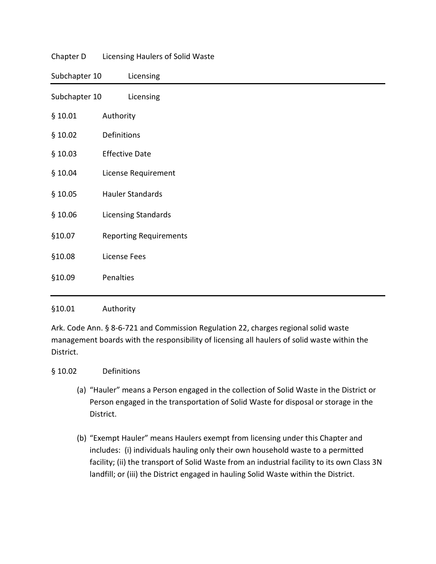|               | enapter B Electionig Haalers of Sonal Waste |
|---------------|---------------------------------------------|
| Subchapter 10 | Licensing                                   |
| Subchapter 10 | Licensing                                   |
| \$10.01       | Authority                                   |
| \$10.02       | Definitions                                 |
| \$10.03       | <b>Effective Date</b>                       |
| \$10.04       | License Requirement                         |
| \$10.05       | <b>Hauler Standards</b>                     |
| \$10.06       | Licensing Standards                         |
| §10.07        | <b>Reporting Requirements</b>               |
| §10.08        | <b>License Fees</b>                         |
| §10.09        | Penalties                                   |
|               |                                             |

#### Chapter D Licensing Haulers of Solid Waste

#### §10.01 Authority

Ark. Code Ann. § 8-6-721 and Commission Regulation 22, charges regional solid waste management boards with the responsibility of licensing all haulers of solid waste within the District.

#### § 10.02 Definitions

- (a) "Hauler" means a Person engaged in the collection of Solid Waste in the District or Person engaged in the transportation of Solid Waste for disposal or storage in the District.
- (b) "Exempt Hauler" means Haulers exempt from licensing under this Chapter and includes: (i) individuals hauling only their own household waste to a permitted facility; (ii) the transport of Solid Waste from an industrial facility to its own Class 3N landfill; or (iii) the District engaged in hauling Solid Waste within the District.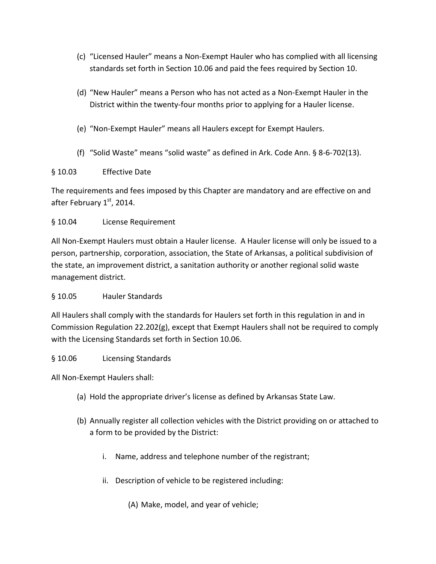- (c) "Licensed Hauler" means a Non-Exempt Hauler who has complied with all licensing standards set forth in Section 10.06 and paid the fees required by Section 10.
- (d) "New Hauler" means a Person who has not acted as a Non-Exempt Hauler in the District within the twenty-four months prior to applying for a Hauler license.
- (e) "Non-Exempt Hauler" means all Haulers except for Exempt Haulers.
- (f) "Solid Waste" means "solid waste" as defined in Ark. Code Ann. § 8-6-702(13).

### § 10.03 Effective Date

The requirements and fees imposed by this Chapter are mandatory and are effective on and after February 1st, 2014.

# § 10.04 License Requirement

All Non-Exempt Haulers must obtain a Hauler license. A Hauler license will only be issued to a person, partnership, corporation, association, the State of Arkansas, a political subdivision of the state, an improvement district, a sanitation authority or another regional solid waste management district.

# § 10.05 Hauler Standards

All Haulers shall comply with the standards for Haulers set forth in this regulation in and in Commission Regulation 22.202(g), except that Exempt Haulers shall not be required to comply with the Licensing Standards set forth in Section 10.06.

# § 10.06 Licensing Standards

All Non-Exempt Haulers shall:

- (a) Hold the appropriate driver's license as defined by Arkansas State Law.
- (b) Annually register all collection vehicles with the District providing on or attached to a form to be provided by the District:
	- i. Name, address and telephone number of the registrant;
	- ii. Description of vehicle to be registered including:
		- (A) Make, model, and year of vehicle;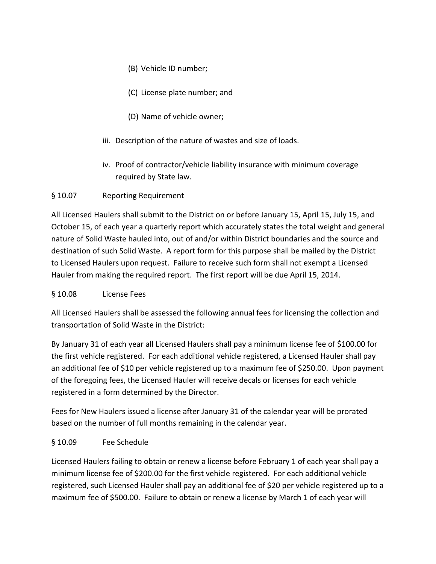- (B) Vehicle ID number;
- (C) License plate number; and
- (D) Name of vehicle owner;
- iii. Description of the nature of wastes and size of loads.
- iv. Proof of contractor/vehicle liability insurance with minimum coverage required by State law.

### § 10.07 Reporting Requirement

All Licensed Haulers shall submit to the District on or before January 15, April 15, July 15, and October 15, of each year a quarterly report which accurately states the total weight and general nature of Solid Waste hauled into, out of and/or within District boundaries and the source and destination of such Solid Waste. A report form for this purpose shall be mailed by the District to Licensed Haulers upon request. Failure to receive such form shall not exempt a Licensed Hauler from making the required report. The first report will be due April 15, 2014.

#### § 10.08 License Fees

All Licensed Haulers shall be assessed the following annual fees for licensing the collection and transportation of Solid Waste in the District:

By January 31 of each year all Licensed Haulers shall pay a minimum license fee of \$100.00 for the first vehicle registered. For each additional vehicle registered, a Licensed Hauler shall pay an additional fee of \$10 per vehicle registered up to a maximum fee of \$250.00. Upon payment of the foregoing fees, the Licensed Hauler will receive decals or licenses for each vehicle registered in a form determined by the Director.

Fees for New Haulers issued a license after January 31 of the calendar year will be prorated based on the number of full months remaining in the calendar year.

#### § 10.09 Fee Schedule

Licensed Haulers failing to obtain or renew a license before February 1 of each year shall pay a minimum license fee of \$200.00 for the first vehicle registered. For each additional vehicle registered, such Licensed Hauler shall pay an additional fee of \$20 per vehicle registered up to a maximum fee of \$500.00. Failure to obtain or renew a license by March 1 of each year will